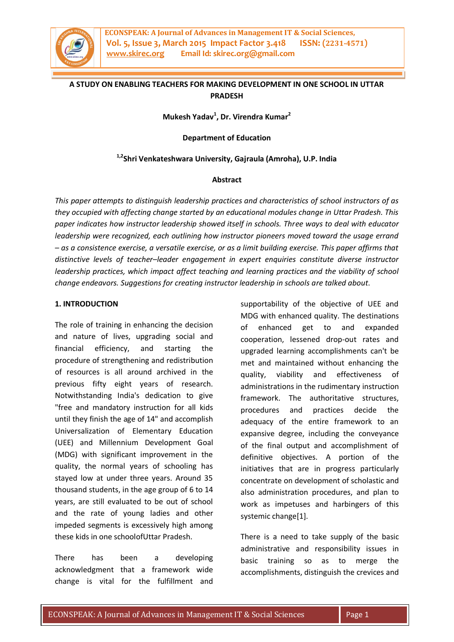

## **A STUDY ON ENABLING TEACHERS FOR MAKING DEVELOPMENT IN ONE SCHOOL IN UTTAR PRADESH**

**Mukesh Yadav<sup>1</sup> , Dr. Virendra Kumar<sup>2</sup>**

**Department of Education**

#### **1,2Shri Venkateshwara University, Gajraula (Amroha), U.P. India**

#### **Abstract**

*This paper attempts to distinguish leadership practices and characteristics of school instructors of as they occupied with affecting change started by an educational modules change in Uttar Pradesh. This paper indicates how instructor leadership showed itself in schools. Three ways to deal with educator leadership were recognized, each outlining how instructor pioneers moved toward the usage errand – as a consistence exercise, a versatile exercise, or as a limit building exercise. This paper affirms that distinctive levels of teacher–leader engagement in expert enquiries constitute diverse instructor leadership practices, which impact affect teaching and learning practices and the viability of school change endeavors. Suggestions for creating instructor leadership in schools are talked about*.

#### **1. INTRODUCTION**

The role of training in enhancing the decision and nature of lives, upgrading social and financial efficiency, and starting the procedure of strengthening and redistribution of resources is all around archived in the previous fifty eight years of research. Notwithstanding India's dedication to give "free and mandatory instruction for all kids until they finish the age of 14" and accomplish Universalization of Elementary Education (UEE) and Millennium Development Goal (MDG) with significant improvement in the quality, the normal years of schooling has stayed low at under three years. Around 35 thousand students, in the age group of 6 to 14 years, are still evaluated to be out of school and the rate of young ladies and other impeded segments is excessively high among these kids in one schoolofUttar Pradesh.

There has been a developing acknowledgment that a framework wide change is vital for the fulfillment and supportability of the objective of UEE and MDG with enhanced quality. The destinations of enhanced get to and expanded cooperation, lessened drop-out rates and upgraded learning accomplishments can't be met and maintained without enhancing the quality, viability and effectiveness of administrations in the rudimentary instruction framework. The authoritative structures, procedures and practices decide the adequacy of the entire framework to an expansive degree, including the conveyance of the final output and accomplishment of definitive objectives. A portion of the initiatives that are in progress particularly concentrate on development of scholastic and also administration procedures, and plan to work as impetuses and harbingers of this systemic change[1].

There is a need to take supply of the basic administrative and responsibility issues in basic training so as to merge the accomplishments, distinguish the crevices and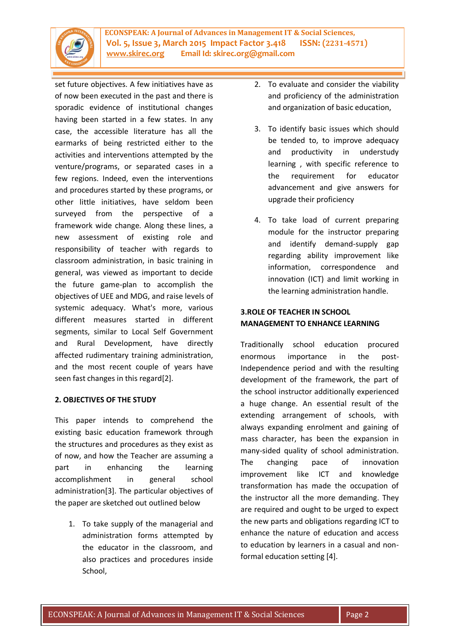

set future objectives. A few initiatives have as of now been executed in the past and there is sporadic evidence of institutional changes having been started in a few states. In any case, the accessible literature has all the earmarks of being restricted either to the activities and interventions attempted by the venture/programs, or separated cases in a few regions. Indeed, even the interventions and procedures started by these programs, or other little initiatives, have seldom been surveyed from the perspective of a framework wide change. Along these lines, a new assessment of existing role and responsibility of teacher with regards to classroom administration, in basic training in general, was viewed as important to decide the future game-plan to accomplish the objectives of UEE and MDG, and raise levels of systemic adequacy. What's more, various different measures started in different segments, similar to Local Self Government and Rural Development, have directly affected rudimentary training administration, and the most recent couple of years have seen fast changes in this regard[2].

### **2. OBJECTIVES OF THE STUDY**

This paper intends to comprehend the existing basic education framework through the structures and procedures as they exist as of now, and how the Teacher are assuming a part in enhancing the learning accomplishment in general school administration[3]. The particular objectives of the paper are sketched out outlined below

1. To take supply of the managerial and administration forms attempted by the educator in the classroom, and also practices and procedures inside School,

- 2. To evaluate and consider the viability and proficiency of the administration and organization of basic education,
- 3. To identify basic issues which should be tended to, to improve adequacy and productivity in understudy learning , with specific reference to the requirement for educator advancement and give answers for upgrade their proficiency
- 4. To take load of current preparing module for the instructor preparing and identify demand-supply gap regarding ability improvement like information, correspondence and innovation (ICT) and limit working in the learning administration handle.

## **3.ROLE OF TEACHER IN SCHOOL MANAGEMENT TO ENHANCE LEARNING**

Traditionally school education procured enormous importance in the post-Independence period and with the resulting development of the framework, the part of the school instructor additionally experienced a huge change. An essential result of the extending arrangement of schools, with always expanding enrolment and gaining of mass character, has been the expansion in many-sided quality of school administration. The changing pace of innovation improvement like ICT and knowledge transformation has made the occupation of the instructor all the more demanding. They are required and ought to be urged to expect the new parts and obligations regarding ICT to enhance the nature of education and access to education by learners in a casual and nonformal education setting [4].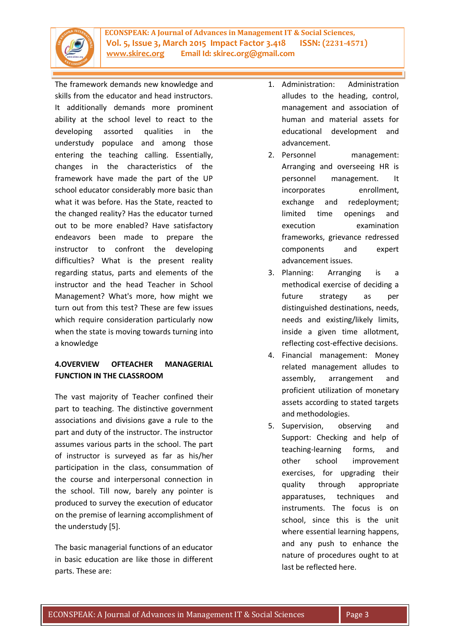

**ECONSPEAK: A Journal of Advances in Management IT & Social Sciences, Vol. 5, Issue 3, March 2015 Impact Factor 3.418 ISSN: (2231-4571) www.skirec.org Email Id: skirec.org@gmail.com**

The framework demands new knowledge and skills from the educator and head instructors. It additionally demands more prominent ability at the school level to react to the developing assorted qualities in the understudy populace and among those entering the teaching calling. Essentially, changes in the characteristics of the framework have made the part of the UP school educator considerably more basic than what it was before. Has the State, reacted to the changed reality? Has the educator turned out to be more enabled? Have satisfactory endeavors been made to prepare the instructor to confront the developing difficulties? What is the present reality regarding status, parts and elements of the instructor and the head Teacher in School Management? What's more, how might we turn out from this test? These are few issues which require consideration particularly now when the state is moving towards turning into a knowledge

# **4.OVERVIEW OFTEACHER MANAGERIAL FUNCTION IN THE CLASSROOM**

The vast majority of Teacher confined their part to teaching. The distinctive government associations and divisions gave a rule to the part and duty of the instructor. The instructor assumes various parts in the school. The part of instructor is surveyed as far as his/her participation in the class, consummation of the course and interpersonal connection in the school. Till now, barely any pointer is produced to survey the execution of educator on the premise of learning accomplishment of the understudy [5].

The basic managerial functions of an educator in basic education are like those in different parts. These are:

- 1. Administration: Administration alludes to the heading, control, management and association of human and material assets for educational development and advancement.
- 2. Personnel management: Arranging and overseeing HR is personnel management. It incorporates enrollment, exchange and redeployment; limited time openings and execution examination frameworks, grievance redressed components and expert advancement issues.
- 3. Planning: Arranging is a methodical exercise of deciding a future strategy as per distinguished destinations, needs, needs and existing/likely limits, inside a given time allotment, reflecting cost-effective decisions.
- 4. Financial management: Money related management alludes to assembly, arrangement and proficient utilization of monetary assets according to stated targets and methodologies.
- 5. Supervision, observing and Support: Checking and help of teaching-learning forms, and other school improvement exercises, for upgrading their quality through appropriate apparatuses, techniques and instruments. The focus is on school, since this is the unit where essential learning happens, and any push to enhance the nature of procedures ought to at last be reflected here.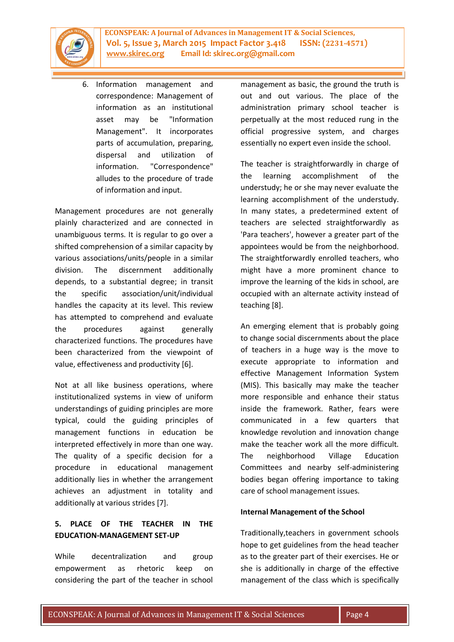

6. Information management and correspondence: Management of information as an institutional asset may be "Information Management". It incorporates parts of accumulation, preparing, dispersal and utilization of information. "Correspondence" alludes to the procedure of trade of information and input.

Management procedures are not generally plainly characterized and are connected in unambiguous terms. It is regular to go over a shifted comprehension of a similar capacity by various associations/units/people in a similar division. The discernment additionally depends, to a substantial degree; in transit the specific association/unit/individual handles the capacity at its level. This review has attempted to comprehend and evaluate the procedures against generally characterized functions. The procedures have been characterized from the viewpoint of value, effectiveness and productivity [6].

Not at all like business operations, where institutionalized systems in view of uniform understandings of guiding principles are more typical, could the guiding principles of management functions in education be interpreted effectively in more than one way. The quality of a specific decision for a procedure in educational management additionally lies in whether the arrangement achieves an adjustment in totality and additionally at various strides [7].

# **5. PLACE OF THE TEACHER IN THE EDUCATION-MANAGEMENT SET-UP**

While decentralization and group empowerment as rhetoric keep on considering the part of the teacher in school management as basic, the ground the truth is out and out various. The place of the administration primary school teacher is perpetually at the most reduced rung in the official progressive system, and charges essentially no expert even inside the school.

The teacher is straightforwardly in charge of the learning accomplishment of the understudy; he or she may never evaluate the learning accomplishment of the understudy. In many states, a predetermined extent of teachers are selected straightforwardly as 'Para teachers', however a greater part of the appointees would be from the neighborhood. The straightforwardly enrolled teachers, who might have a more prominent chance to improve the learning of the kids in school, are occupied with an alternate activity instead of teaching [8].

An emerging element that is probably going to change social discernments about the place of teachers in a huge way is the move to execute appropriate to information and effective Management Information System (MIS). This basically may make the teacher more responsible and enhance their status inside the framework. Rather, fears were communicated in a few quarters that knowledge revolution and innovation change make the teacher work all the more difficult. The neighborhood Village Education Committees and nearby self-administering bodies began offering importance to taking care of school management issues.

### **Internal Management of the School**

Traditionally,teachers in government schools hope to get guidelines from the head teacher as to the greater part of their exercises. He or she is additionally in charge of the effective management of the class which is specifically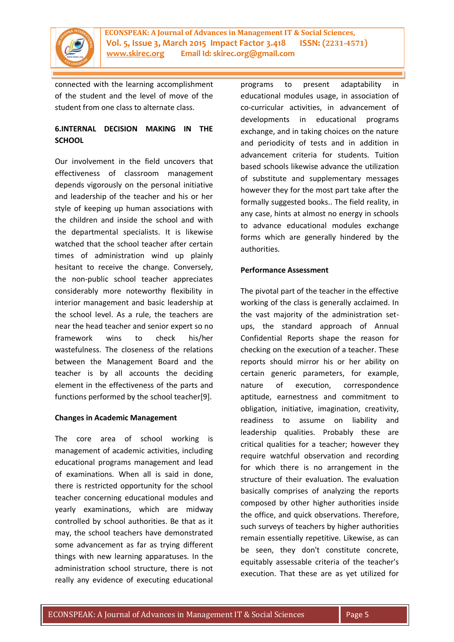

connected with the learning accomplishment of the student and the level of move of the student from one class to alternate class.

## **6.INTERNAL DECISION MAKING IN THE SCHOOL**

Our involvement in the field uncovers that effectiveness of classroom management depends vigorously on the personal initiative and leadership of the teacher and his or her style of keeping up human associations with the children and inside the school and with the departmental specialists. It is likewise watched that the school teacher after certain times of administration wind up plainly hesitant to receive the change. Conversely, the non-public school teacher appreciates considerably more noteworthy flexibility in interior management and basic leadership at the school level. As a rule, the teachers are near the head teacher and senior expert so no framework wins to check his/her wastefulness. The closeness of the relations between the Management Board and the teacher is by all accounts the deciding element in the effectiveness of the parts and functions performed by the school teacher[9].

### **Changes in Academic Management**

The core area of school working is management of academic activities, including educational programs management and lead of examinations. When all is said in done, there is restricted opportunity for the school teacher concerning educational modules and yearly examinations, which are midway controlled by school authorities. Be that as it may, the school teachers have demonstrated some advancement as far as trying different things with new learning apparatuses. In the administration school structure, there is not really any evidence of executing educational

programs to present adaptability in educational modules usage, in association of co-curricular activities, in advancement of developments in educational programs exchange, and in taking choices on the nature and periodicity of tests and in addition in advancement criteria for students. Tuition based schools likewise advance the utilization of substitute and supplementary messages however they for the most part take after the formally suggested books.. The field reality, in any case, hints at almost no energy in schools to advance educational modules exchange forms which are generally hindered by the authorities.

#### **Performance Assessment**

The pivotal part of the teacher in the effective working of the class is generally acclaimed. In the vast majority of the administration setups, the standard approach of Annual Confidential Reports shape the reason for checking on the execution of a teacher. These reports should mirror his or her ability on certain generic parameters, for example, nature of execution, correspondence aptitude, earnestness and commitment to obligation, initiative, imagination, creativity, readiness to assume on liability and leadership qualities. Probably these are critical qualities for a teacher; however they require watchful observation and recording for which there is no arrangement in the structure of their evaluation. The evaluation basically comprises of analyzing the reports composed by other higher authorities inside the office, and quick observations. Therefore, such surveys of teachers by higher authorities remain essentially repetitive. Likewise, as can be seen, they don't constitute concrete, equitably assessable criteria of the teacher's execution. That these are as yet utilized for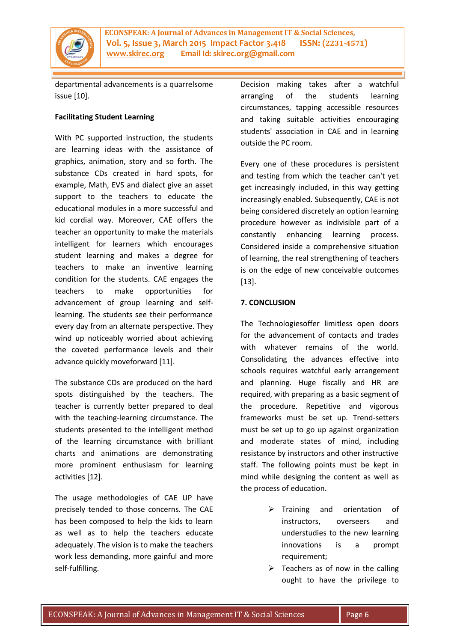

**ECONSPEAK: A Journal of Advances in Management IT & Social Sciences, Vol. 5, Issue 3, March 2015 Impact Factor 3.418 ISSN: (2231-4571) www.skirec.org Email Id: skirec.org@gmail.com**

departmental advancements is a quarrelsome issue [10].

#### **Facilitating Student Learning**

With PC supported instruction, the students are learning ideas with the assistance of graphics, animation, story and so forth. The substance CDs created in hard spots, for example, Math, EVS and dialect give an asset support to the teachers to educate the educational modules in a more successful and kid cordial way. Moreover, CAE offers the teacher an opportunity to make the materials intelligent for learners which encourages student learning and makes a degree for teachers to make an inventive learning condition for the students. CAE engages the teachers to make opportunities for advancement of group learning and selflearning. The students see their performance every day from an alternate perspective. They wind up noticeably worried about achieving the coveted performance levels and their advance quickly moveforward [11].

The substance CDs are produced on the hard spots distinguished by the teachers. The teacher is currently better prepared to deal with the teaching-learning circumstance. The students presented to the intelligent method of the learning circumstance with brilliant charts and animations are demonstrating more prominent enthusiasm for learning activities [12].

The usage methodologies of CAE UP have precisely tended to those concerns. The CAE has been composed to help the kids to learn as well as to help the teachers educate adequately. The vision is to make the teachers work less demanding, more gainful and more self-fulfilling.

Decision making takes after a watchful arranging of the students learning circumstances, tapping accessible resources and taking suitable activities encouraging students' association in CAE and in learning outside the PC room.

Every one of these procedures is persistent and testing from which the teacher can't yet get increasingly included, in this way getting increasingly enabled. Subsequently, CAE is not being considered discretely an option learning procedure however as indivisible part of a constantly enhancing learning process. Considered inside a comprehensive situation of learning, the real strengthening of teachers is on the edge of new conceivable outcomes [13].

### **7. CONCLUSION**

The Technologiesoffer limitless open doors for the advancement of contacts and trades with whatever remains of the world. Consolidating the advances effective into schools requires watchful early arrangement and planning. Huge fiscally and HR are required, with preparing as a basic segment of the procedure. Repetitive and vigorous frameworks must be set up. Trend-setters must be set up to go up against organization and moderate states of mind, including resistance by instructors and other instructive staff. The following points must be kept in mind while designing the content as well as the process of education.

- $\triangleright$  Training and orientation of instructors, overseers and understudies to the new learning innovations is a prompt requirement;
- $\triangleright$  Teachers as of now in the calling ought to have the privilege to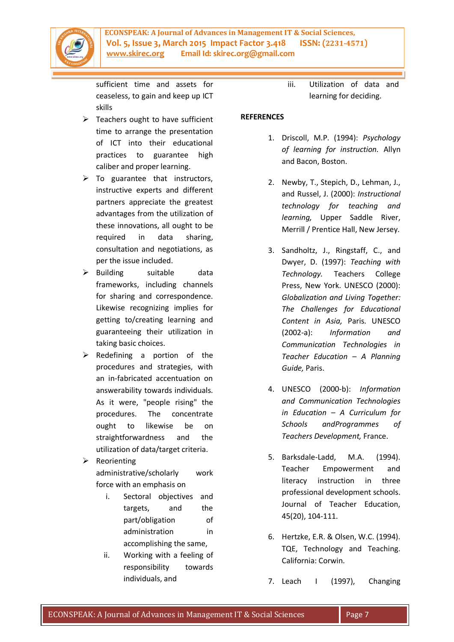

sufficient time and assets for ceaseless, to gain and keep up ICT skills

- $\triangleright$  Teachers ought to have sufficient time to arrange the presentation of ICT into their educational practices to guarantee high caliber and proper learning.
- $\triangleright$  To guarantee that instructors, instructive experts and different partners appreciate the greatest advantages from the utilization of these innovations, all ought to be required in data sharing, consultation and negotiations, as per the issue included.
- $\triangleright$  Building suitable data frameworks, including channels for sharing and correspondence. Likewise recognizing implies for getting to/creating learning and guaranteeing their utilization in taking basic choices.
- $\triangleright$  Redefining a portion of the procedures and strategies, with an in-fabricated accentuation on answerability towards individuals. As it were, "people rising" the procedures. The concentrate ought to likewise be on straightforwardness and the utilization of data/target criteria.
- $\triangleright$  Reorienting administrative/scholarly work force with an emphasis on
	- i. Sectoral objectives and targets, and the part/obligation of administration in accomplishing the same,
	- ii. Working with a feeling of responsibility towards individuals, and

iii. Utilization of data and learning for deciding.

### **REFERENCES**

- 1. Driscoll, M.P. (1994): *Psychology of learning for instruction.* Allyn and Bacon, Boston.
- 2. Newby, T., Stepich, D., Lehman, J., and Russel, J. (2000): *Instructional technology for teaching and learning,* Upper Saddle River, Merrill / Prentice Hall, New Jersey.
- 3. Sandholtz, J., Ringstaff, C., and Dwyer, D. (1997): *Teaching with Technology.* Teachers College Press, New York. UNESCO (2000): *Globalization and Living Together: The Challenges for Educational Content in Asia,* Paris. UNESCO (2002-a): *Information and Communication Technologies in Teacher Education – A Planning Guide,* Paris.
- 4. UNESCO (2000-b): *Information and Communication Technologies in Education – A Curriculum for Schools andProgrammes of Teachers Development,* France.
- 5. Barksdale-Ladd, M.A. (1994). Teacher Empowerment and literacy instruction in three professional development schools. Journal of Teacher Education, 45(20), 104-111.
- 6. Hertzke, E.R. & Olsen, W.C. (1994). TQE, Technology and Teaching. California: Corwin.
- 7. Leach I (1997), Changing